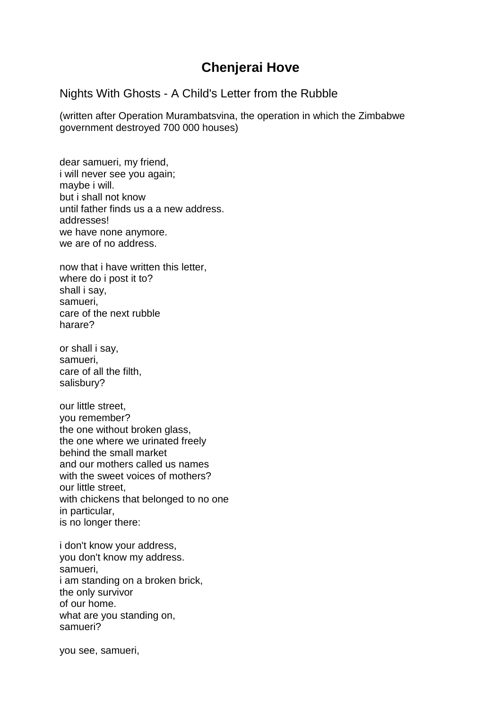## **Chenjerai Hove**

### Nights With Ghosts - A Child's Letter from the Rubble

(written after Operation Murambatsvina, the operation in which the Zimbabwe government destroyed 700 000 houses)

dear samueri, my friend, i will never see you again; maybe i will. but i shall not know until father finds us a a new address. addresses! we have none anymore. we are of no address.

now that i have written this letter, where do i post it to? shall i say, samueri, care of the next rubble harare?

or shall i say, samueri, care of all the filth, salisbury?

our little street, you remember? the one without broken glass, the one where we urinated freely behind the small market and our mothers called us names with the sweet voices of mothers? our little street, with chickens that belonged to no one in particular, is no longer there:

i don't know your address, you don't know my address. samueri, i am standing on a broken brick, the only survivor of our home. what are you standing on, samueri?

you see, samueri,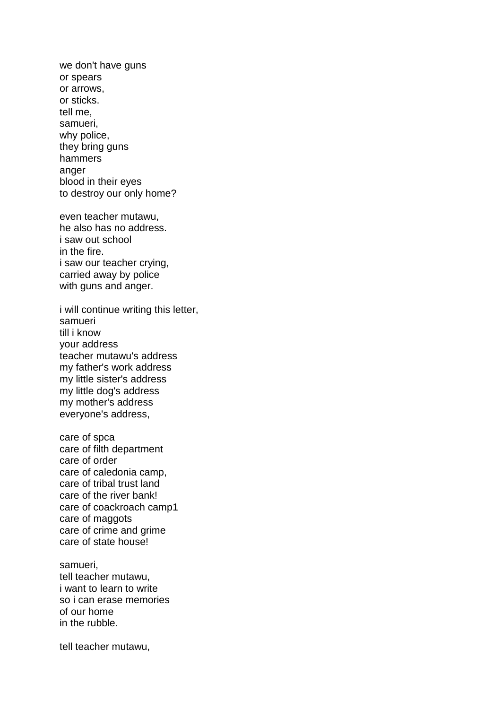we don't have guns or spears or arrows, or sticks. tell me, samueri, why police, they bring guns hammers anger blood in their eyes to destroy our only home?

even teacher mutawu, he also has no address. i saw out school in the fire. i saw our teacher crying, carried away by police with guns and anger.

i will continue writing this letter, samueri till i know your address teacher mutawu's address my father's work address my little sister's address my little dog's address my mother's address everyone's address,

care of spca care of filth department care of order care of caledonia camp, care of tribal trust land care of the river bank! care of coackroach camp1 care of maggots care of crime and grime care of state house!

samueri, tell teacher mutawu, i want to learn to write so i can erase memories of our home in the rubble.

tell teacher mutawu,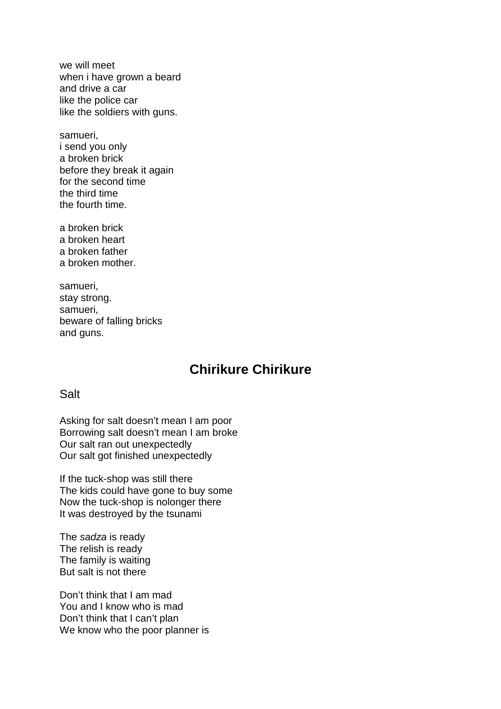we will meet when i have grown a beard and drive a car like the police car like the soldiers with guns.

samueri, i send you only a broken brick before they break it again for the second time the third time the fourth time.

a broken brick a broken heart a broken father a broken mother.

samueri, stay strong. samueri, beware of falling bricks and guns.

# **Chirikure Chirikure**

**Salt** 

Asking for salt doesn't mean I am poor Borrowing salt doesn't mean I am broke Our salt ran out unexpectedly Our salt got finished unexpectedly

If the tuck-shop was still there The kids could have gone to buy some Now the tuck-shop is nolonger there It was destroyed by the tsunami

The sadza is ready The relish is ready The family is waiting But salt is not there

Don't think that I am mad You and I know who is mad Don't think that I can't plan We know who the poor planner is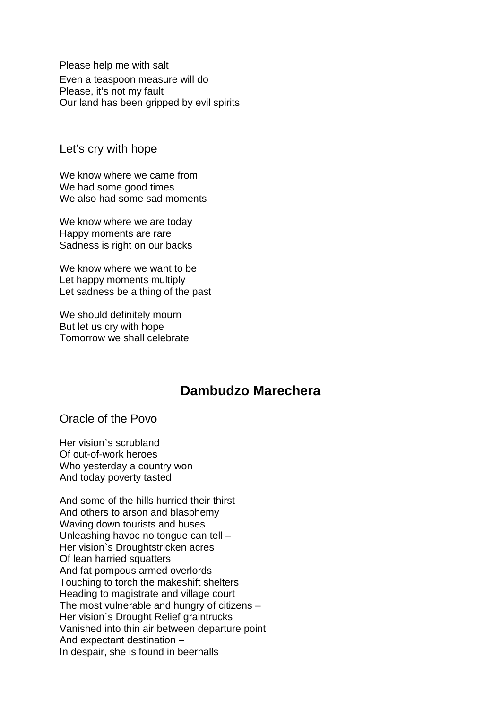Please help me with salt Even a teaspoon measure will do Please, it's not my fault Our land has been gripped by evil spirits

Let's cry with hope

We know where we came from We had some good times We also had some sad moments

We know where we are today Happy moments are rare Sadness is right on our backs

We know where we want to be Let happy moments multiply Let sadness be a thing of the past

We should definitely mourn But let us cry with hope Tomorrow we shall celebrate

### **Dambudzo Marechera**

Oracle of the Povo

Her vision`s scrubland Of out-of-work heroes Who yesterday a country won And today poverty tasted

And some of the hills hurried their thirst And others to arson and blasphemy Waving down tourists and buses Unleashing havoc no tongue can tell – Her vision`s Droughtstricken acres Of lean harried squatters And fat pompous armed overlords Touching to torch the makeshift shelters Heading to magistrate and village court The most vulnerable and hungry of citizens – Her vision`s Drought Relief graintrucks Vanished into thin air between departure point And expectant destination – In despair, she is found in beerhalls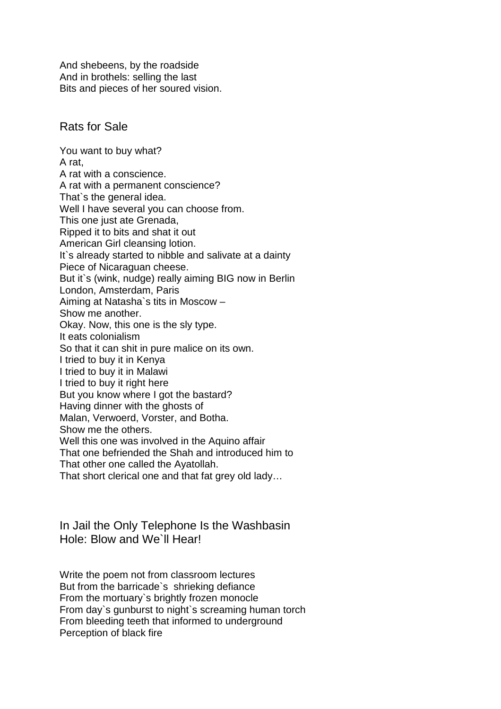And shebeens, by the roadside And in brothels: selling the last Bits and pieces of her soured vision.

### Rats for Sale

You want to buy what? A rat, A rat with a conscience. A rat with a permanent conscience? That`s the general idea. Well I have several you can choose from. This one just ate Grenada, Ripped it to bits and shat it out American Girl cleansing lotion. It's already started to nibble and salivate at a dainty Piece of Nicaraguan cheese. But it`s (wink, nudge) really aiming BIG now in Berlin London, Amsterdam, Paris Aiming at Natasha`s tits in Moscow – Show me another. Okay. Now, this one is the sly type. It eats colonialism So that it can shit in pure malice on its own. I tried to buy it in Kenya I tried to buy it in Malawi I tried to buy it right here But you know where I got the bastard? Having dinner with the ghosts of Malan, Verwoerd, Vorster, and Botha. Show me the others. Well this one was involved in the Aquino affair That one befriended the Shah and introduced him to That other one called the Ayatollah. That short clerical one and that fat grey old lady…

In Jail the Only Telephone Is the Washbasin Hole: Blow and We`ll Hear!

Write the poem not from classroom lectures But from the barricade`s shrieking defiance From the mortuary`s brightly frozen monocle From day`s gunburst to night`s screaming human torch From bleeding teeth that informed to underground Perception of black fire